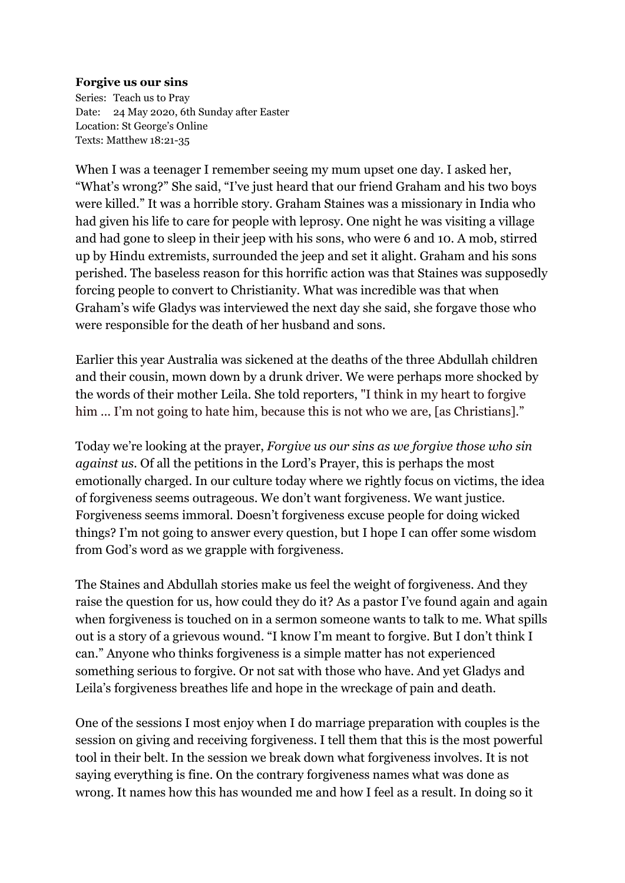## **Forgive us our sins**

Series: Teach us to Pray Date: 24 May 2020, 6th Sunday after Easter Location: St George's Online Texts: Matthew 18:21-35

When I was a teenager I remember seeing my mum upset one day. I asked her, "What's wrong?" She said, "I've just heard that our friend Graham and his two boys were killed." It was a horrible story. Graham Staines was a missionary in India who had given his life to care for people with leprosy. One night he was visiting a village and had gone to sleep in their jeep with his sons, who were 6 and 10. A mob, stirred up by Hindu extremists, surrounded the jeep and set it alight. Graham and his sons perished. The baseless reason for this horrific action was that Staines was supposedly forcing people to convert to Christianity. What was incredible was that when Graham's wife Gladys was interviewed the next day she said, she forgave those who were responsible for the death of her husband and sons.

Earlier this year Australia was sickened at the deaths of the three Abdullah children and their cousin, mown down by a drunk driver. We were perhaps more shocked by the words of their mother Leila. She told reporters, "I think in my heart to forgive him ... I'm not going to hate him, because this is not who we are, [as Christians]."

Today we're looking at the prayer, *Forgive us our sins as we forgive those who sin against us*. Of all the petitions in the Lord's Prayer, this is perhaps the most emotionally charged. In our culture today where we rightly focus on victims, the idea of forgiveness seems outrageous. We don't want forgiveness. We want justice. Forgiveness seems immoral. Doesn't forgiveness excuse people for doing wicked things? I'm not going to answer every question, but I hope I can offer some wisdom from God's word as we grapple with forgiveness.

The Staines and Abdullah stories make us feel the weight of forgiveness. And they raise the question for us, how could they do it? As a pastor I've found again and again when forgiveness is touched on in a sermon someone wants to talk to me. What spills out is a story of a grievous wound. "I know I'm meant to forgive. But I don't think I can." Anyone who thinks forgiveness is a simple matter has not experienced something serious to forgive. Or not sat with those who have. And yet Gladys and Leila's forgiveness breathes life and hope in the wreckage of pain and death.

One of the sessions I most enjoy when I do marriage preparation with couples is the session on giving and receiving forgiveness. I tell them that this is the most powerful tool in their belt. In the session we break down what forgiveness involves. It is not saying everything is fine. On the contrary forgiveness names what was done as wrong. It names how this has wounded me and how I feel as a result. In doing so it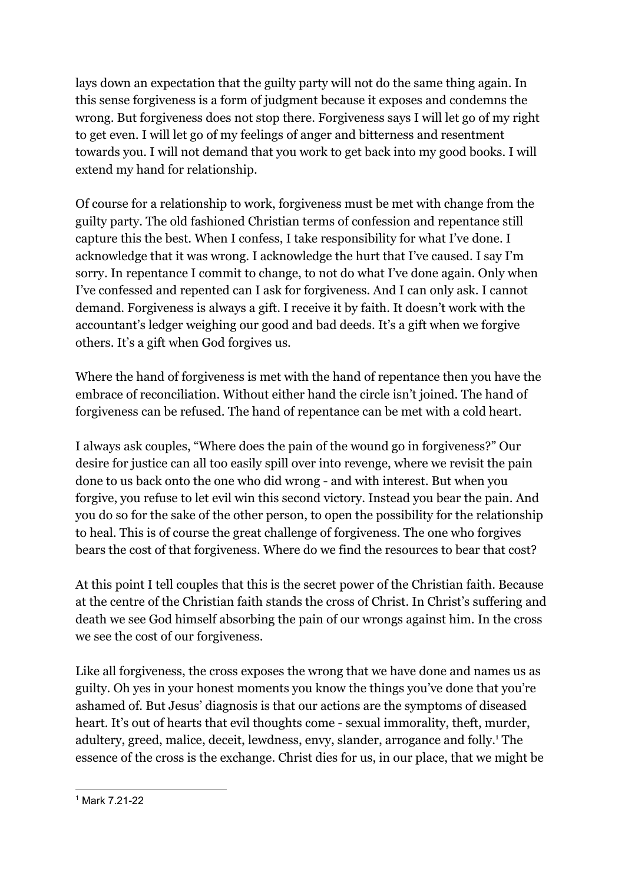lays down an expectation that the guilty party will not do the same thing again. In this sense forgiveness is a form of judgment because it exposes and condemns the wrong. But forgiveness does not stop there. Forgiveness says I will let go of my right to get even. I will let go of my feelings of anger and bitterness and resentment towards you. I will not demand that you work to get back into my good books. I will extend my hand for relationship.

Of course for a relationship to work, forgiveness must be met with change from the guilty party. The old fashioned Christian terms of confession and repentance still capture this the best. When I confess, I take responsibility for what I've done. I acknowledge that it was wrong. I acknowledge the hurt that I've caused. I say I'm sorry. In repentance I commit to change, to not do what I've done again. Only when I've confessed and repented can I ask for forgiveness. And I can only ask. I cannot demand. Forgiveness is always a gift. I receive it by faith. It doesn't work with the accountant's ledger weighing our good and bad deeds. It's a gift when we forgive others. It's a gift when God forgives us.

Where the hand of forgiveness is met with the hand of repentance then you have the embrace of reconciliation. Without either hand the circle isn't joined. The hand of forgiveness can be refused. The hand of repentance can be met with a cold heart.

I always ask couples, "Where does the pain of the wound go in forgiveness?" Our desire for justice can all too easily spill over into revenge, where we revisit the pain done to us back onto the one who did wrong - and with interest. But when you forgive, you refuse to let evil win this second victory. Instead you bear the pain. And you do so for the sake of the other person, to open the possibility for the relationship to heal. This is of course the great challenge of forgiveness. The one who forgives bears the cost of that forgiveness. Where do we find the resources to bear that cost?

At this point I tell couples that this is the secret power of the Christian faith. Because at the centre of the Christian faith stands the cross of Christ. In Christ's suffering and death we see God himself absorbing the pain of our wrongs against him. In the cross we see the cost of our forgiveness.

Like all forgiveness, the cross exposes the wrong that we have done and names us as guilty. Oh yes in your honest moments you know the things you've done that you're ashamed of. But Jesus' diagnosis is that our actions are the symptoms of diseased heart. It's out of hearts that evil thoughts come - sexual immorality, theft, murder, adultery, greed, malice, deceit, lewdness, envy, slander, arrogance and folly.<sup>1</sup> The essence of the cross is the exchange. Christ dies for us, in our place, that we might be

<sup>1</sup> Mark 7.21-22